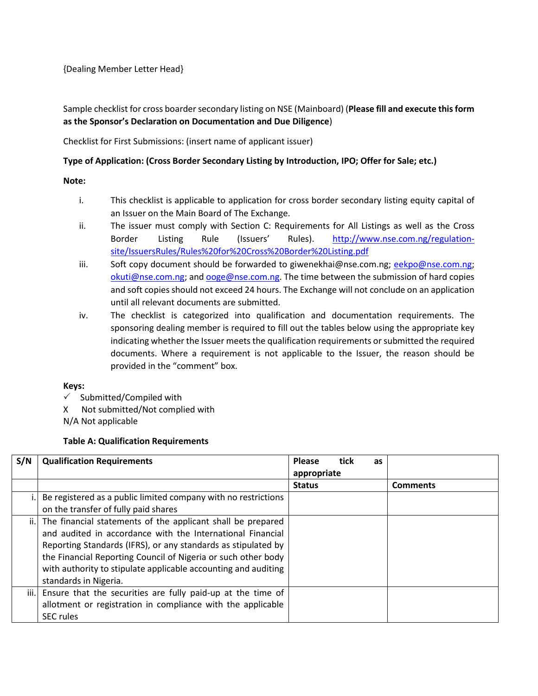{Dealing Member Letter Head}

## Sample checklist for cross boarder secondary listing on NSE (Mainboard) (**Please fill and execute this form as the Sponsor's Declaration on Documentation and Due Diligence**)

Checklist for First Submissions: (insert name of applicant issuer)

#### **Type of Application: (Cross Border Secondary Listing by Introduction, IPO; Offer for Sale; etc.)**

- **Note:**
	- i. This checklist is applicable to application for cross border secondary listing equity capital of an Issuer on the Main Board of The Exchange.
	- ii. The issuer must comply with Section C: Requirements for All Listings as well as the Cross Border Listing Rule (Issuers' Rules). [http://www.nse.com.ng/regulation](http://www.nse.com.ng/regulation-site/IssuersRules/Rules%20for%20Cross%20Border%20Listing.pdf)[site/IssuersRules/Rules%20for%20Cross%20Border%20Listing.pdf](http://www.nse.com.ng/regulation-site/IssuersRules/Rules%20for%20Cross%20Border%20Listing.pdf)
	- iii. Soft copy document should be forwarded to giwenekhai@nse.com.ng; [eekpo@nse.com.ng;](mailto:eekpo@nse.com.ng) [okuti@nse.com.ng;](mailto:okuti@nse.com.ng) an[d ooge@nse.com.ng.](mailto:ooge@nse.com.ng) The time between the submission of hard copies and soft copies should not exceed 24 hours. The Exchange will not conclude on an application until all relevant documents are submitted.
	- iv. The checklist is categorized into qualification and documentation requirements. The sponsoring dealing member is required to fill out the tables below using the appropriate key indicating whether the Issuer meets the qualification requirements or submitted the required documents. Where a requirement is not applicable to the Issuer, the reason should be provided in the "comment" box.

### **Keys:**

- $\checkmark$  Submitted/Compiled with
- X Not submitted/Not complied with
- N/A Not applicable

### **Table A: Qualification Requirements**

| S/N  | <b>Qualification Requirements</b>                              | <b>Please</b><br>appropriate | tick | as |                 |
|------|----------------------------------------------------------------|------------------------------|------|----|-----------------|
|      |                                                                | <b>Status</b>                |      |    | <b>Comments</b> |
|      | Be registered as a public limited company with no restrictions |                              |      |    |                 |
|      | on the transfer of fully paid shares                           |                              |      |    |                 |
| ji.l | The financial statements of the applicant shall be prepared    |                              |      |    |                 |
|      | and audited in accordance with the International Financial     |                              |      |    |                 |
|      | Reporting Standards (IFRS), or any standards as stipulated by  |                              |      |    |                 |
|      | the Financial Reporting Council of Nigeria or such other body  |                              |      |    |                 |
|      | with authority to stipulate applicable accounting and auditing |                              |      |    |                 |
|      | standards in Nigeria.                                          |                              |      |    |                 |
| iii. | Ensure that the securities are fully paid-up at the time of    |                              |      |    |                 |
|      | allotment or registration in compliance with the applicable    |                              |      |    |                 |
|      | <b>SEC</b> rules                                               |                              |      |    |                 |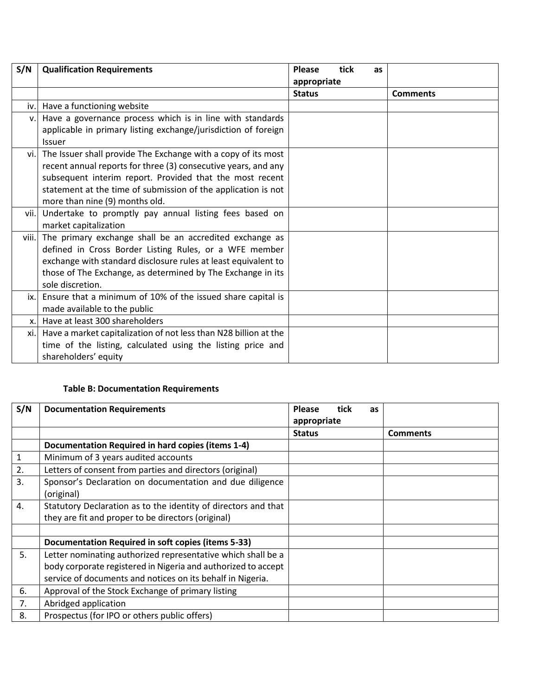| S/N            | <b>Qualification Requirements</b>                                                                                                                                                                                                                                                              | <b>Please</b><br>appropriate | tick | as |                 |
|----------------|------------------------------------------------------------------------------------------------------------------------------------------------------------------------------------------------------------------------------------------------------------------------------------------------|------------------------------|------|----|-----------------|
|                |                                                                                                                                                                                                                                                                                                | <b>Status</b>                |      |    | <b>Comments</b> |
| iv.            | Have a functioning website                                                                                                                                                                                                                                                                     |                              |      |    |                 |
| v.             | Have a governance process which is in line with standards<br>applicable in primary listing exchange/jurisdiction of foreign<br><b>Issuer</b>                                                                                                                                                   |                              |      |    |                 |
| vi.            | The Issuer shall provide The Exchange with a copy of its most<br>recent annual reports for three (3) consecutive years, and any<br>subsequent interim report. Provided that the most recent<br>statement at the time of submission of the application is not<br>more than nine (9) months old. |                              |      |    |                 |
| vii.           | Undertake to promptly pay annual listing fees based on<br>market capitalization                                                                                                                                                                                                                |                              |      |    |                 |
| viii.          | The primary exchange shall be an accredited exchange as<br>defined in Cross Border Listing Rules, or a WFE member<br>exchange with standard disclosure rules at least equivalent to<br>those of The Exchange, as determined by The Exchange in its<br>sole discretion.                         |                              |      |    |                 |
| ix.            | Ensure that a minimum of 10% of the issued share capital is<br>made available to the public                                                                                                                                                                                                    |                              |      |    |                 |
| $\mathsf{x}$ . | Have at least 300 shareholders                                                                                                                                                                                                                                                                 |                              |      |    |                 |
| xi.            | Have a market capitalization of not less than N28 billion at the<br>time of the listing, calculated using the listing price and<br>shareholders' equity                                                                                                                                        |                              |      |    |                 |

# **Table B: Documentation Requirements**

| S/N         | <b>Documentation Requirements</b>                                      | <b>Please</b> | tick        | <b>as</b> |                 |
|-------------|------------------------------------------------------------------------|---------------|-------------|-----------|-----------------|
|             |                                                                        |               | appropriate |           |                 |
|             |                                                                        | <b>Status</b> |             |           | <b>Comments</b> |
|             | Documentation Required in hard copies (items 1-4)                      |               |             |           |                 |
| $\mathbf 1$ | Minimum of 3 years audited accounts                                    |               |             |           |                 |
| 2.          | Letters of consent from parties and directors (original)               |               |             |           |                 |
| 3.          | Sponsor's Declaration on documentation and due diligence<br>(original) |               |             |           |                 |
| 4.          | Statutory Declaration as to the identity of directors and that         |               |             |           |                 |
|             | they are fit and proper to be directors (original)                     |               |             |           |                 |
|             |                                                                        |               |             |           |                 |
|             | <b>Documentation Required in soft copies (items 5-33)</b>              |               |             |           |                 |
| 5.          | Letter nominating authorized representative which shall be a           |               |             |           |                 |
|             | body corporate registered in Nigeria and authorized to accept          |               |             |           |                 |
|             | service of documents and notices on its behalf in Nigeria.             |               |             |           |                 |
| 6.          | Approval of the Stock Exchange of primary listing                      |               |             |           |                 |
| 7.          | Abridged application                                                   |               |             |           |                 |
| 8.          | Prospectus (for IPO or others public offers)                           |               |             |           |                 |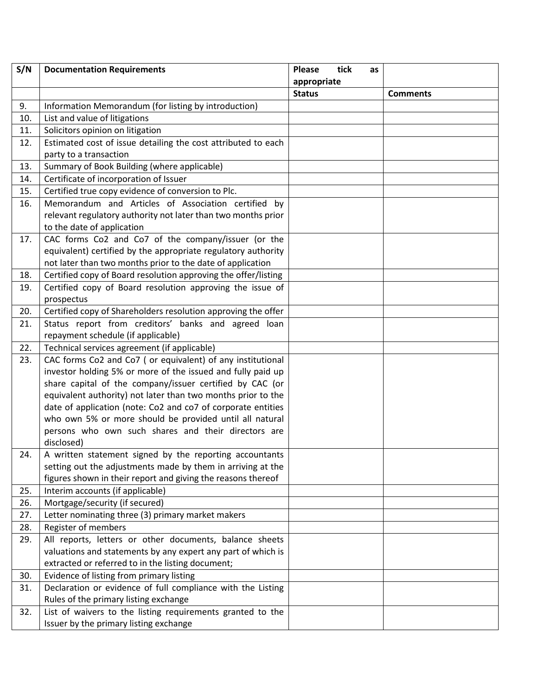| S/N | <b>Documentation Requirements</b>                              | <b>Please</b><br>tick | as |                 |
|-----|----------------------------------------------------------------|-----------------------|----|-----------------|
|     |                                                                | appropriate           |    |                 |
|     |                                                                | <b>Status</b>         |    | <b>Comments</b> |
| 9.  | Information Memorandum (for listing by introduction)           |                       |    |                 |
| 10. | List and value of litigations                                  |                       |    |                 |
| 11. | Solicitors opinion on litigation                               |                       |    |                 |
| 12. | Estimated cost of issue detailing the cost attributed to each  |                       |    |                 |
|     | party to a transaction                                         |                       |    |                 |
| 13. | Summary of Book Building (where applicable)                    |                       |    |                 |
| 14. | Certificate of incorporation of Issuer                         |                       |    |                 |
| 15. | Certified true copy evidence of conversion to Plc.             |                       |    |                 |
| 16. | Memorandum and Articles of Association certified by            |                       |    |                 |
|     | relevant regulatory authority not later than two months prior  |                       |    |                 |
|     | to the date of application                                     |                       |    |                 |
| 17. | CAC forms Co2 and Co7 of the company/issuer (or the            |                       |    |                 |
|     | equivalent) certified by the appropriate regulatory authority  |                       |    |                 |
|     | not later than two months prior to the date of application     |                       |    |                 |
| 18. | Certified copy of Board resolution approving the offer/listing |                       |    |                 |
| 19. | Certified copy of Board resolution approving the issue of      |                       |    |                 |
|     | prospectus                                                     |                       |    |                 |
| 20. | Certified copy of Shareholders resolution approving the offer  |                       |    |                 |
| 21. | Status report from creditors' banks and agreed loan            |                       |    |                 |
|     | repayment schedule (if applicable)                             |                       |    |                 |
| 22. | Technical services agreement (if applicable)                   |                       |    |                 |
| 23. | CAC forms Co2 and Co7 ( or equivalent) of any institutional    |                       |    |                 |
|     | investor holding 5% or more of the issued and fully paid up    |                       |    |                 |
|     | share capital of the company/issuer certified by CAC (or       |                       |    |                 |
|     | equivalent authority) not later than two months prior to the   |                       |    |                 |
|     | date of application (note: Co2 and co7 of corporate entities   |                       |    |                 |
|     | who own 5% or more should be provided until all natural        |                       |    |                 |
|     | persons who own such shares and their directors are            |                       |    |                 |
|     | disclosed)                                                     |                       |    |                 |
| 24. | A written statement signed by the reporting accountants        |                       |    |                 |
|     | setting out the adjustments made by them in arriving at the    |                       |    |                 |
|     | figures shown in their report and giving the reasons thereof   |                       |    |                 |
| 25. | Interim accounts (if applicable)                               |                       |    |                 |
| 26. | Mortgage/security (if secured)                                 |                       |    |                 |
| 27. | Letter nominating three (3) primary market makers              |                       |    |                 |
| 28. | Register of members                                            |                       |    |                 |
| 29. | All reports, letters or other documents, balance sheets        |                       |    |                 |
|     | valuations and statements by any expert any part of which is   |                       |    |                 |
|     | extracted or referred to in the listing document;              |                       |    |                 |
| 30. | Evidence of listing from primary listing                       |                       |    |                 |
| 31. | Declaration or evidence of full compliance with the Listing    |                       |    |                 |
|     | Rules of the primary listing exchange                          |                       |    |                 |
| 32. | List of waivers to the listing requirements granted to the     |                       |    |                 |
|     | Issuer by the primary listing exchange                         |                       |    |                 |